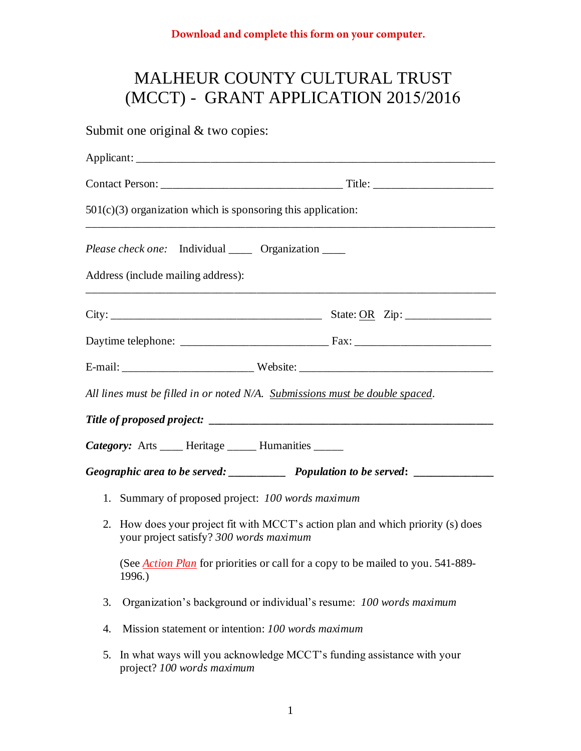## MALHEUR COUNTY CULTURAL TRUST (MCCT) - GRANT APPLICATION 2015/2016

|    | Submit one original $&$ two copies:                                                                                         |  |  |  |  |  |
|----|-----------------------------------------------------------------------------------------------------------------------------|--|--|--|--|--|
|    |                                                                                                                             |  |  |  |  |  |
|    |                                                                                                                             |  |  |  |  |  |
|    | $501(c)(3)$ organization which is sponsoring this application:                                                              |  |  |  |  |  |
|    | <i>Please check one:</i> Individual _____ Organization ____                                                                 |  |  |  |  |  |
|    | Address (include mailing address):                                                                                          |  |  |  |  |  |
|    |                                                                                                                             |  |  |  |  |  |
|    |                                                                                                                             |  |  |  |  |  |
|    |                                                                                                                             |  |  |  |  |  |
|    | All lines must be filled in or noted N/A. Submissions must be double spaced.                                                |  |  |  |  |  |
|    |                                                                                                                             |  |  |  |  |  |
|    | Category: Arts ____ Heritage _____ Humanities _____                                                                         |  |  |  |  |  |
|    |                                                                                                                             |  |  |  |  |  |
|    | 1. Summary of proposed project: 100 words maximum                                                                           |  |  |  |  |  |
|    | 2. How does your project fit with MCCT's action plan and which priority (s) does<br>your project satisfy? 300 words maximum |  |  |  |  |  |
|    | (See <i>Action Plan</i> for priorities or call for a copy to be mailed to you. 541-889-<br>1996.)                           |  |  |  |  |  |
| 3. | Organization's background or individual's resume: 100 words maximum                                                         |  |  |  |  |  |
| 4. | Mission statement or intention: 100 words maximum                                                                           |  |  |  |  |  |
| 5. | In what ways will you acknowledge MCCT's funding assistance with your<br>project? 100 words maximum                         |  |  |  |  |  |